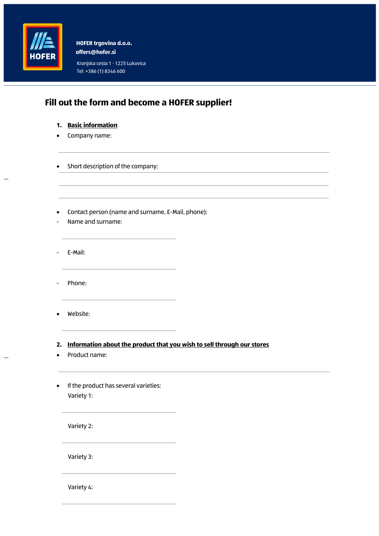

**offers**@**hofer.si HOFER trgovina d.o.o.**

Kranjska cesta 1 ⋅ 1225 Lukovica Tel: +386 (1) 8346 600

## **Fill out the form and become a HOFER supplier!**

- **1. Basic information**
- Company name:
- Short description of the company:
- Contact person (name and surname, E-Mail, phone):
- Name and surname:
- E-Mail:
- Phone:
- Website:

## **2. Information about the product that you wish to sell through our stores**

- Product name:
- If the product has several varieties: Variety 1:

Variety 2:

Variety 3:

Variety 4: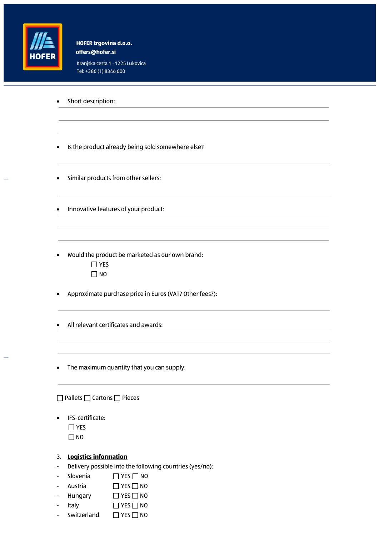

**offers**@**hofer.si HOFER trgovina d.o.o.**

Kranjska cesta 1 ⋅ 1225 Lukovica Tel: +386 (1) 8346 600

|                                             | Short description:                                                       |
|---------------------------------------------|--------------------------------------------------------------------------|
|                                             |                                                                          |
|                                             |                                                                          |
|                                             | Is the product already being sold somewhere else?                        |
|                                             | Similar products from other sellers:                                     |
|                                             | Innovative features of your product:                                     |
|                                             |                                                                          |
|                                             | Would the product be marketed as our own brand:<br>$\exists$ YES<br>] NO |
|                                             | Approximate purchase price in Euros (VAT? Other fees?):                  |
|                                             | All relevant certificates and awards:                                    |
|                                             |                                                                          |
|                                             | The maximum quantity that you can supply:                                |
| $\Box$ Pallets $\Box$ Cartons $\Box$ Pieces |                                                                          |
|                                             | IFS-certificate:<br>$\Box$ YES<br>$\Box$ NO                              |
|                                             | 3. Logistics information                                                 |

- Delivery possible into the following countries (yes/no):
- Slovenia □ YES □ NO
- Austria □ YES □ NO
- Hungary DYES NO
- Italy DYES NO
- Switzerland □ YES □ NO